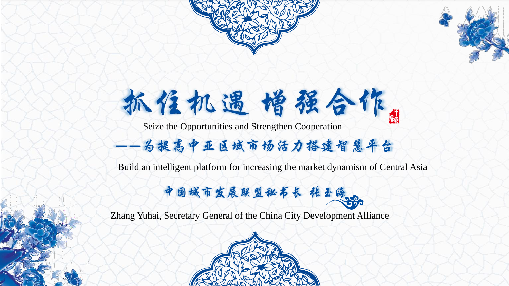



# 抓住机遇增强合作。

Seize the Opportunities and Strengthen Cooperation

### 为提高中亚区域市场活力搭建智慧平台

Build an intelligent platform for increasing the market dynamism of Central Asia

中国城市发展联盟秘书长 程玉海

Zhang Yuhai, Secretary General of the China City Development Alliance

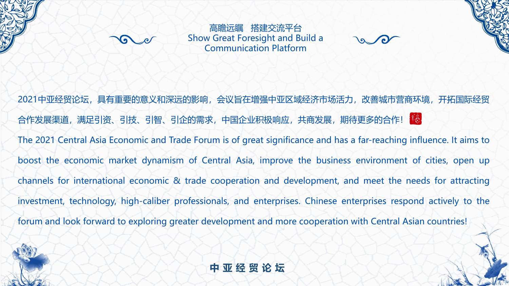

高瞻远瞩 搭建交流平台 Show Great Foresight and Build a Communication Platform

2021中亚经贸论坛,具有重要的意义和深远的影响,会议旨在增强中亚区域经济市场活力,改善城市营商环境,开拓国际经贸 合作发展渠道,满足引资、引技、引智、引企的需求,中国企业积极响应,共商发展,期待更多的合作! The 2021 Central Asia Economic and Trade Forum is of great significance and has a far-reaching influence. It aims to boost the economic market dynamism of Central Asia, improve the business environment of cities, open up channels for international economic & trade cooperation and development, and meet the needs for attracting investment, technology, high-caliber professionals, and enterprises. Chinese enterprises respond actively to the forum and look forward to exploring greater development and more cooperation with Central Asian countries!



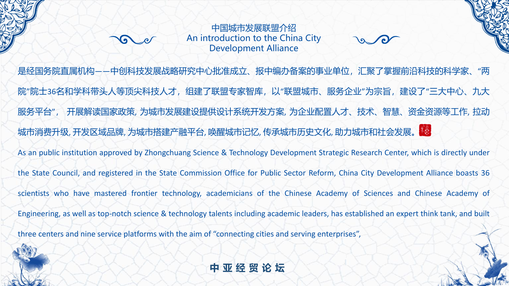中国城市发展联盟介绍 An introduction to the China City Development Alliance

是经国务院直属机构——中创科技发展战略研究中心批准成立、报中编办备案的事业单位,汇聚了掌握前沿科技的科学家、"两 院"院士36名和学科带头人等顶尖科技人才,组建了联盟专家智库,以"联盟城市、服务企业"为宗旨,建设了"三大中心、九大 服务平台", 开展解读国家政策, 为城市发展建设提供设计系统开发方案, 为企业配置人才、技术、智慧、资金资源等工作, 拉动 城市消费升级, 开发区域品牌, 为城市搭建产融平台, 唤醒城市记忆, 传承城市历史文化, 助力城市和社会发展。 <sup>请。</sup> As an public institution approved by Zhongchuang Science & Technology Development Strategic Research Center, which is directly under the State Council, and registered in the State Commission Office for Public Sector Reform, China City Development Alliance boasts 36 scientists who have mastered frontier technology, academicians of the Chinese Academy of Sciences and Chinese Academy of Engineering, as well as top-notch science & technology talents including academic leaders, has established an expert think tank, and built three centers and nine service platforms with the aim of "connecting cities and serving enterprises",

**中亚经贸论坛**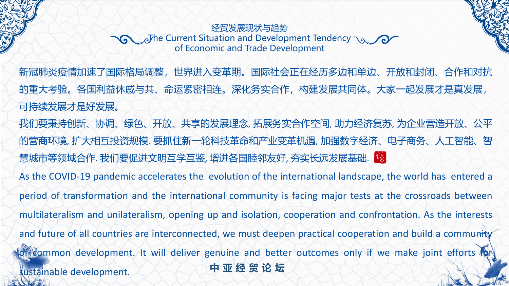#### 经贸发展现状与趋势 The Current Situation and Development Tendency of Economic and Trade Development

**中亚经贸论坛** 新冠肺炎疫情加速了国际格局调整,世界进入变革期。国际社会正在经历多边和单边、开放和封闭、合作和对抗 的重大考验。各国利益休戚与共、命运紧密相连。深化务实合作,构建发展共同体。大家一起发展才是真发展, 可持续发展才是好发展。 我们要秉持创新、协调、绿色、开放、共享的发展理念, 拓展务实合作空间, 助力经济复苏, 为企业营造开放、公平 的营商环境, 扩大相互投资规模. 要抓住新一轮科技革命和产业变革机遇, 加强数字经济、电子商务、人工智能、智 慧城市等领域合作. 我们要促进文明互学互鉴, 增进各国睦邻友好, 夯实长远发展基础. 第 As the COVID-19 pandemic accelerates the evolution of the international landscape, the world has entered a period of transformation and the international community is facing major tests at the crossroads between multilateralism and unilateralism, opening up and isolation, cooperation and confrontation. As the interests and future of all countries are interconnected, we must deepen practical cooperation and build a community Common development. It will deliver genuine and better outcomes only if we make joint efforts to sustainable development.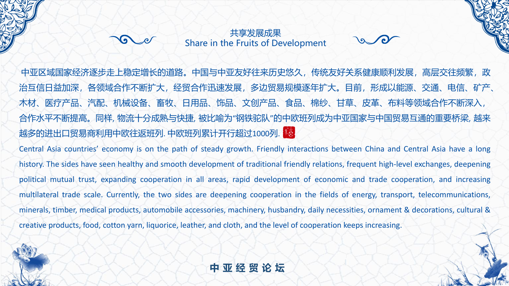#### 共享发展成果 Share in the Fruits of Development

中亚区域国家经济逐步走上稳定增长的道路。中国与中亚友好往来历史悠久,传统友好关系健康顺利发展,高层交往频繁,政 治互信日益加深,各领域合作不断扩大,经贸合作迅速发展,多边贸易规模逐年扩大。目前,形成以能源、交通、电信、矿产、 木材、医疗产品、汽配、机械设备、畜牧、日用品、饰品、文创产品、食品、棉纱、甘草、皮革、布料等领域合作不断深入, 合作水平不断提高。同样, 物流十分成熟与快捷, 被比喻为"钢铁驼队"的中欧班列成为中亚国家与中国贸易互通的重要桥梁, 越来 越多的进出口贸易商利用中欧往返班列. 中欧班列累计开行超过1000列.

Central Asia countries' economy is on the path of steady growth. Friendly interactions between China and Central Asia have a long history. The sides have seen healthy and smooth development of traditional friendly relations, frequent high-level exchanges, deepening political mutual trust, expanding cooperation in all areas, rapid development of economic and trade cooperation, and increasing multilateral trade scale. Currently, the two sides are deepening cooperation in the fields of energy, transport, telecommunications, minerals, timber, medical products, automobile accessories, machinery, husbandry, daily necessities, ornament & decorations, cultural & creative products, food, cotton yarn, liquorice, leather, and cloth, and the level of cooperation keeps increasing.

**中亚经贸论坛**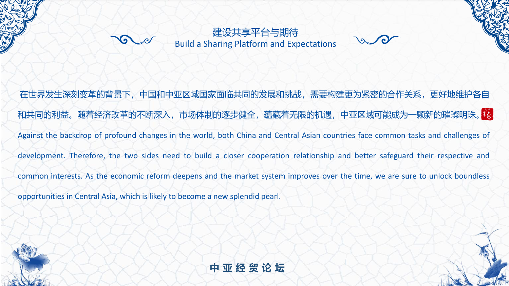

建设共享平台与期待 Build a Sharing Platform and Expectations

在世界发生深刻变革的背景下,中国和中亚区域国家面临共同的发展和挑战,需要构建更为紧密的合作关系,更好地维护各自 和共同的利益。随着经济改革的不断深入,市场体制的逐步健全,蕴藏着无限的机遇,中亚区域可能成为一颗新的璀璨明珠。 Against the backdrop of profound changes in the world, both China and Central Asian countries face common tasks and challenges of development. Therefore, the two sides need to build a closer cooperation relationship and better safeguard their respective and common interests. As the economic reform deepens and the market system improves over the time, we are sure to unlock boundless opportunities in Central Asia, which is likely to become a new splendid pearl.



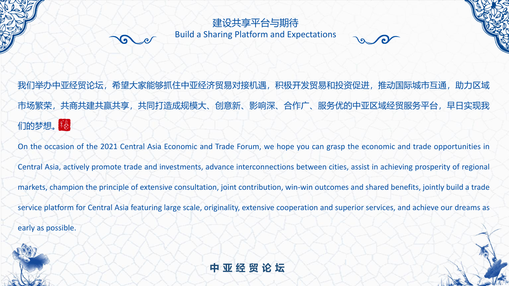#### 建设共享平台与期待 Build a Sharing Platform and Expectations

我们举办中亚经贸论坛,希望大家能够抓住中亚经济贸易对接机遇,积极开发贸易和投资促进,推动国际城市互通,助力区域 市场繁荣,共商共建共赢共享,共同打造成规模大、创意新、影响深、合作广、服务优的中亚区域经贸服务平台,早日实现我 们的梦想。<mark>请</mark>。

On the occasion of the 2021 Central Asia Economic and Trade Forum, we hope you can grasp the economic and trade opportunities in

Central Asia, actively promote trade and investments, advance interconnections between cities, assist in achieving prosperity of regional

markets, champion the principle of extensive consultation, joint contribution, win-win outcomes and shared benefits, jointly build a trade

service platform for Central Asia featuring large scale, originality, extensive cooperation and superior services, and achieve our dreams as

early as possible.